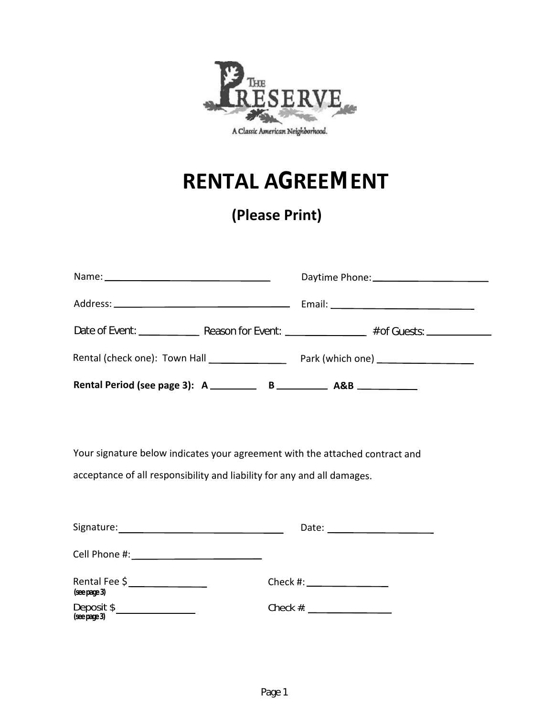

# **RENTAL AGREEMENT**

# **(Please Print)**

| Rental (check one): Town Hall ________________ |  | Park (which one) _______________________ |  |  |
|------------------------------------------------|--|------------------------------------------|--|--|
|                                                |  |                                          |  |  |

Your signature below indicates your agreement with the attached contract and acceptance of all responsibility and liability for any and all damages.

| Signature:                    | Date:                                                                                                                                                                                                                         |
|-------------------------------|-------------------------------------------------------------------------------------------------------------------------------------------------------------------------------------------------------------------------------|
| Cell Phone #:                 |                                                                                                                                                                                                                               |
| Rental Fee \$<br>(see page 3) | Check #: New York #: New York #: New York #: New York #: New York #: New York #: New York #: New York #: New York #: New York #: New York #: New York #: New York #: New York #: New York #: New York #: New York #: New York |
| Deposit \$<br>(see page 3)    | Check $#$ :                                                                                                                                                                                                                   |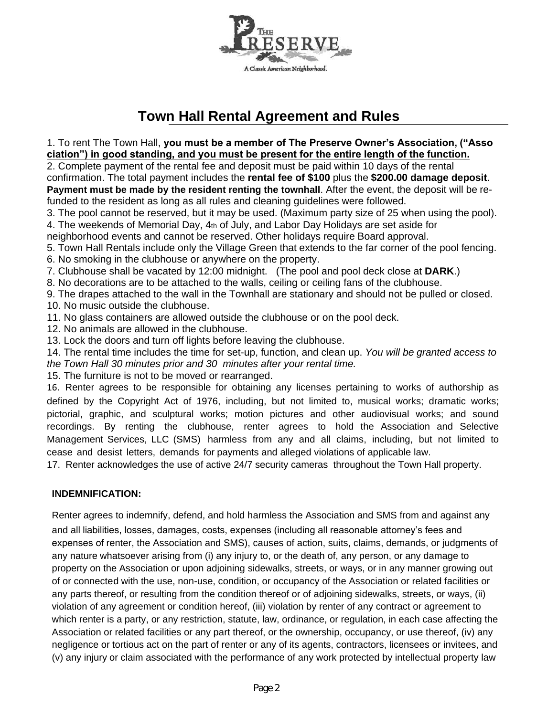

# **Town Hall Rental Agreement and Rules**

1. To rent The Town Hall, **you must be a member of The Preserve Owner's Association, ("Asso ciation") in good standing, and you must be present for the entire length of the function.**

2. Complete payment of the rental fee and deposit must be paid within 10 days of the rental confirmation. The total payment includes the **rental fee of \$100** plus the **\$200.00 damage deposit**. **Payment must be made by the resident renting the townhall**. After the event, the deposit will be refunded to the resident as long as all rules and cleaning guidelines were followed.

3. The pool cannot be reserved, but it may be used. (Maximum party size of 25 when using the pool).

4. The weekends of Memorial Day, 4th of July, and Labor Day Holidays are set aside for

neighborhood events and cannot be reserved. Other holidays require Board approval.

- 5. Town Hall Rentals include only the Village Green that extends to the far corner of the pool fencing.
- 6. No smoking in the clubhouse or anywhere on the property.

7. Clubhouse shall be vacated by 12:00 midnight. (The pool and pool deck close at **DARK**.)

8. No decorations are to be attached to the walls, ceiling or ceiling fans of the clubhouse.

9. The drapes attached to the wall in the Townhall are stationary and should not be pulled or closed. 10. No music outside the clubhouse.

- 11. No glass containers are allowed outside the clubhouse or on the pool deck.
- 12. No animals are allowed in the clubhouse.
- 13. Lock the doors and turn off lights before leaving the clubhouse.

14. The rental time includes the time for set-up, function, and clean up. *You will be granted access to the Town Hall 30 minutes prior and 30 minutes after your rental time.*

15. The furniture is not to be moved or rearranged.

16. Renter agrees to be responsible for obtaining any licenses pertaining to works of authorship as defined by the Copyright Act of 1976, including, but not limited to, musical works; dramatic works; pictorial, graphic, and sculptural works; motion pictures and other audiovisual works; and sound recordings. By renting the clubhouse, renter agrees to hold the Association and Selective Management Services, LLC (SMS) harmless from any and all claims, including, but not limited to cease and desist letters, demands for payments and alleged violations of applicable law.

17. Renter acknowledges the use of active 24/7 security cameras throughout the Town Hall property.

#### **INDEMNIFICATION:**

Renter agrees to indemnify, defend, and hold harmless the Association and SMS from and against any and all liabilities, losses, damages, costs, expenses (including all reasonable attorney's fees and expenses of renter, the Association and SMS), causes of action, suits, claims, demands, or judgments of any nature whatsoever arising from (i) any injury to, or the death of, any person, or any damage to property on the Association or upon adjoining sidewalks, streets, or ways, or in any manner growing out of or connected with the use, non-use, condition, or occupancy of the Association or related facilities or any parts thereof, or resulting from the condition thereof or of adjoining sidewalks, streets, or ways, (ii) violation of any agreement or condition hereof, (iii) violation by renter of any contract or agreement to which renter is a party, or any restriction, statute, law, ordinance, or regulation, in each case affecting the Association or related facilities or any part thereof, or the ownership, occupancy, or use thereof, (iv) any negligence or tortious act on the part of renter or any of its agents, contractors, licensees or invitees, and (v) any injury or claim associated with the performance of any work protected by intellectual property law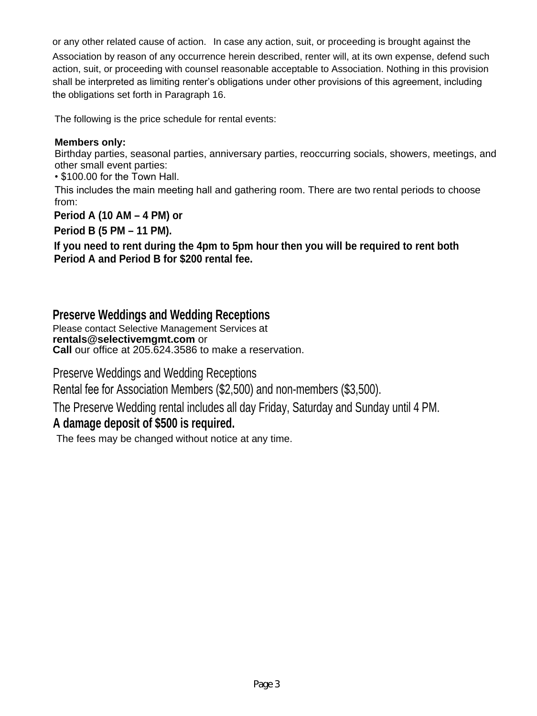or any other related cause of action. In case any action, suit, or proceeding is brought against the Association by reason of any occurrence herein described, renter will, at its own expense, defend such action, suit, or proceeding with counsel reasonable acceptable to Association. Nothing in this provision shall be interpreted as limiting renter's obligations under other provisions of this agreement, including the obligations set forth in Paragraph 16.

The following is the price schedule for rental events:

### **Members only:**

Birthday parties, seasonal parties, anniversary parties, reoccurring socials, showers, meetings, and other small event parties:

• \$100.00 for the Town Hall.

This includes the main meeting hall and gathering room. There are two rental periods to choose from:

**Period A (10 AM – 4 PM) or**

**Period B (5 PM – 11 PM).**

**If you need to rent during the 4pm to 5pm hour then you will be required to rent both Period A and Period B for \$200 rental fee.**

### **Preserve Weddings and Wedding Receptions**

Please contact Selective Management Services at **rentals@selectivemgmt.com** or **Call** our office at 205.624.3586 to make a reservation.

Preserve Weddings and Wedding Receptions

Rental fee for Association Members (\$2,500) and non-members (\$3,500).

The Preserve Wedding rental includes all day Friday, Saturday and Sunday until 4 PM.

# **A damage deposit of \$500 is required.**

The fees may be changed without notice at any time.